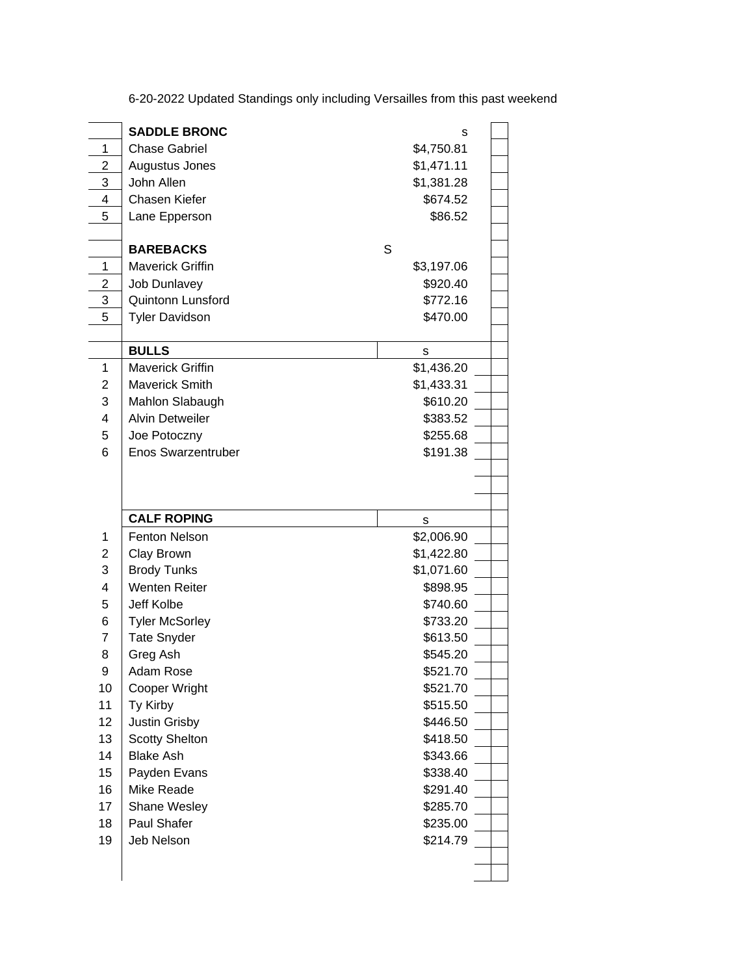| 6-20-2022 Updated Standings only including Versailles from this past weekend |  |
|------------------------------------------------------------------------------|--|
|                                                                              |  |

|                | <b>SADDLE BRONC</b>       | s          |  |
|----------------|---------------------------|------------|--|
| 1              | <b>Chase Gabriel</b>      | \$4,750.81 |  |
| 2              | Augustus Jones            | \$1,471.11 |  |
| 3              | John Allen                | \$1,381.28 |  |
| 4              | Chasen Kiefer             | \$674.52   |  |
| 5              | Lane Epperson             | \$86.52    |  |
|                |                           |            |  |
|                | <b>BAREBACKS</b>          | S          |  |
| 1              | Maverick Griffin          | \$3,197.06 |  |
| $\overline{2}$ | <b>Job Dunlavey</b>       | \$920.40   |  |
| 3              | Quintonn Lunsford         | \$772.16   |  |
| 5              | <b>Tyler Davidson</b>     | \$470.00   |  |
|                |                           |            |  |
|                | <b>BULLS</b>              | S          |  |
| 1              | <b>Maverick Griffin</b>   | \$1,436.20 |  |
| 2              | <b>Maverick Smith</b>     | \$1,433.31 |  |
| 3              | Mahlon Slabaugh           | \$610.20   |  |
| 4              | <b>Alvin Detweiler</b>    | \$383.52   |  |
| 5              | Joe Potoczny              | \$255.68   |  |
| 6              | <b>Enos Swarzentruber</b> | \$191.38   |  |
|                |                           |            |  |
|                |                           |            |  |
|                |                           |            |  |
|                |                           |            |  |
|                | <b>CALF ROPING</b>        | s          |  |
| 1              | <b>Fenton Nelson</b>      | \$2,006.90 |  |
| $\overline{2}$ | Clay Brown                | \$1,422.80 |  |
| 3              | <b>Brody Tunks</b>        | \$1,071.60 |  |
| 4              | <b>Wenten Reiter</b>      | \$898.95   |  |
| 5              | Jeff Kolbe                | \$740.60   |  |
| 6              | <b>Tyler McSorley</b>     | \$733.20   |  |
| $\overline{7}$ | <b>Tate Snyder</b>        | \$613.50   |  |
| 8              | Greg Ash                  | \$545.20   |  |
| 9              | Adam Rose                 | \$521.70   |  |
| 10             | <b>Cooper Wright</b>      | \$521.70   |  |
| 11             | Ty Kirby                  | \$515.50   |  |
| 12             | <b>Justin Grisby</b>      | \$446.50   |  |
| 13             | <b>Scotty Shelton</b>     | \$418.50   |  |
| 14             | <b>Blake Ash</b>          | \$343.66   |  |
| 15             | Payden Evans              | \$338.40   |  |
| 16             | Mike Reade                | \$291.40   |  |
| 17             | Shane Wesley              | \$285.70   |  |
| 18             | Paul Shafer               | \$235.00   |  |
| 19             | Jeb Nelson                | \$214.79   |  |
|                |                           |            |  |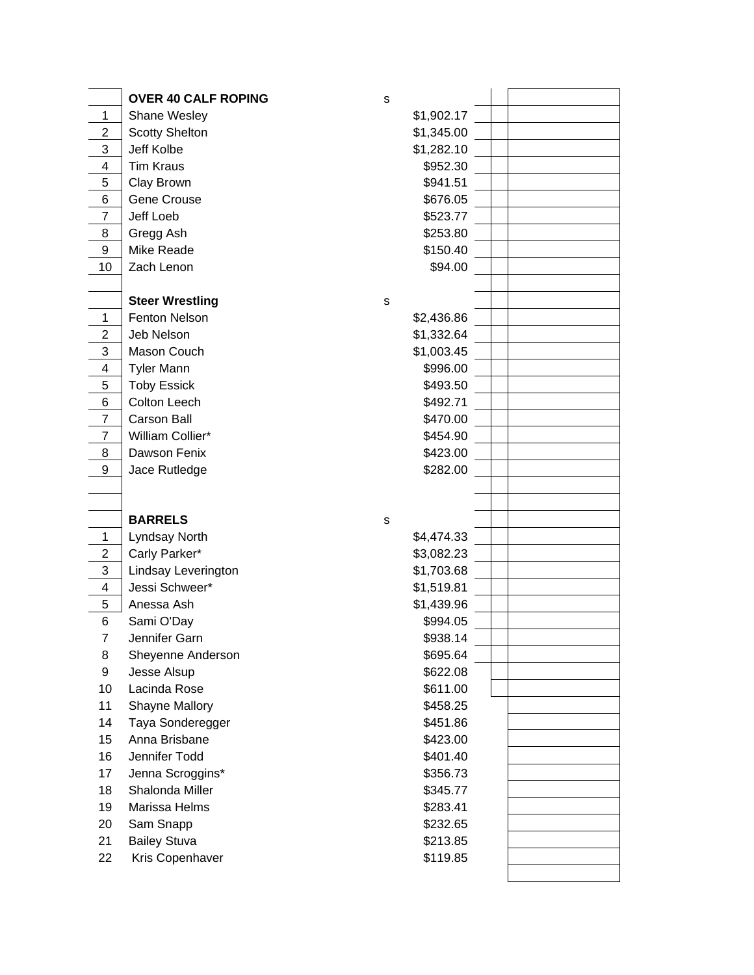|                | <b>OVER 40 CALF ROPING</b>             | s                    |  |
|----------------|----------------------------------------|----------------------|--|
| $\mathbf 1$    | Shane Wesley                           | \$1,902.17           |  |
| 2              | <b>Scotty Shelton</b>                  | \$1,345.00           |  |
| 3              | Jeff Kolbe                             | \$1,282.10           |  |
| 4              | <b>Tim Kraus</b>                       | \$952.30             |  |
| 5              | Clay Brown                             | \$941.51             |  |
| 6              | Gene Crouse                            | \$676.05             |  |
| $\overline{7}$ | <b>Jeff Loeb</b>                       | \$523.77             |  |
| 8              | Gregg Ash                              | \$253.80             |  |
| 9              | Mike Reade                             | \$150.40             |  |
| 10             | Zach Lenon                             | \$94.00              |  |
|                |                                        |                      |  |
|                | <b>Steer Wrestling</b>                 | $\mathbf S$          |  |
| 1              | Fenton Nelson                          | \$2,436.86           |  |
| $\overline{c}$ | Jeb Nelson                             | \$1,332.64           |  |
| 3              | Mason Couch                            | \$1,003.45           |  |
| 4              | <b>Tyler Mann</b>                      | \$996.00             |  |
| 5              | <b>Toby Essick</b>                     | \$493.50             |  |
| 6              | Colton Leech                           | \$492.71             |  |
| $\overline{7}$ | <b>Carson Ball</b>                     | \$470.00             |  |
| $\overline{7}$ | William Collier*                       | \$454.90             |  |
| 8              | Dawson Fenix                           | \$423.00             |  |
| 9              | Jace Rutledge                          | \$282.00             |  |
|                |                                        |                      |  |
|                |                                        |                      |  |
|                | <b>BARRELS</b>                         |                      |  |
|                |                                        | s                    |  |
| 1              | Lyndsay North                          | \$4,474.33           |  |
| $\overline{2}$ | Carly Parker*                          | \$3,082.23           |  |
| 3              | Lindsay Leverington                    | \$1,703.68           |  |
| $\overline{4}$ | Jessi Schweer*                         | \$1,519.81           |  |
| 5              | Anessa Ash                             | \$1,439.96           |  |
| 6              | Sami O'Day                             | \$994.05             |  |
| 7              | Jennifer Garn                          | \$938.14             |  |
| 8              | Sheyenne Anderson                      | \$695.64             |  |
| 9              | Jesse Alsup                            | \$622.08             |  |
| 10             | Lacinda Rose                           | \$611.00             |  |
| 11             | Shayne Mallory                         | \$458.25             |  |
| 14             | Taya Sonderegger                       | \$451.86             |  |
| 15             | Anna Brisbane                          | \$423.00             |  |
| 16             | Jennifer Todd                          | \$401.40             |  |
| 17             | Jenna Scroggins*                       | \$356.73             |  |
| 18             | Shalonda Miller                        | \$345.77             |  |
| 19             | Marissa Helms                          | \$283.41             |  |
| 20             | Sam Snapp                              | \$232.65             |  |
| 21<br>22       | <b>Bailey Stuva</b><br>Kris Copenhaver | \$213.85<br>\$119.85 |  |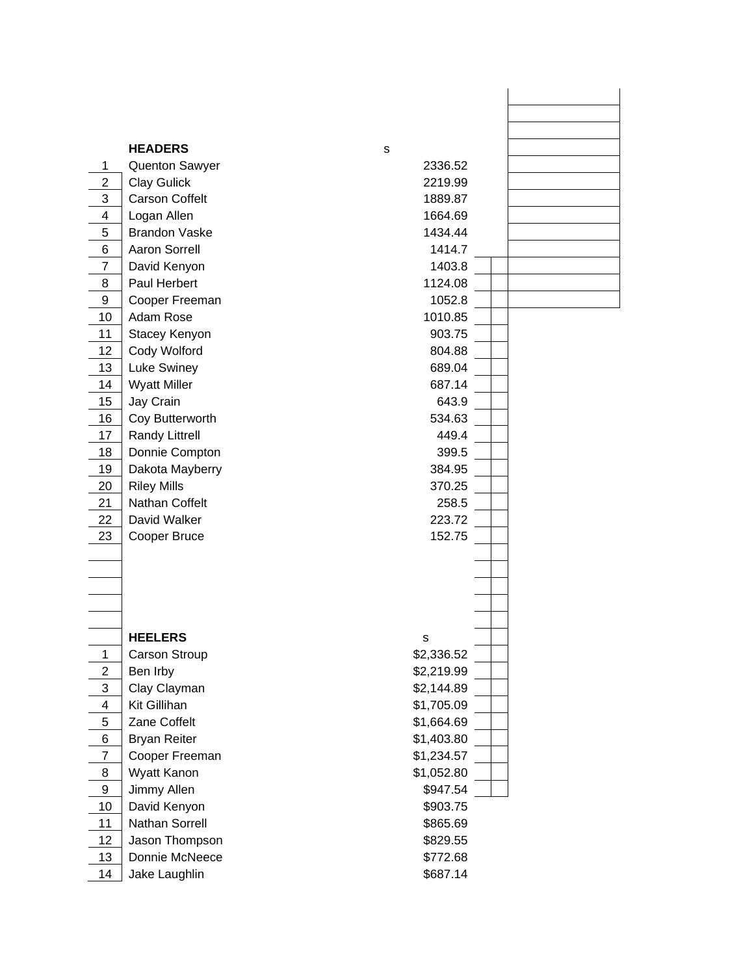|  | <b>HEADERS</b> |  |  |
|--|----------------|--|--|
|  |                |  |  |

|                | <b>HEADERS</b>        | S          |
|----------------|-----------------------|------------|
| 1              | <b>Quenton Sawyer</b> | 2336.52    |
| $\overline{2}$ | <b>Clay Gulick</b>    | 2219.99    |
| 3              | <b>Carson Coffelt</b> | 1889.87    |
| 4              | Logan Allen           | 1664.69    |
| 5              | <b>Brandon Vaske</b>  | 1434.44    |
| 6              | <b>Aaron Sorrell</b>  | 1414.7     |
| 7              | David Kenyon          | 1403.8     |
| 8              | Paul Herbert          | 1124.08    |
| 9              | Cooper Freeman        | 1052.8     |
| 10             | Adam Rose             | 1010.85    |
| 11             | Stacey Kenyon         | 903.75     |
| 12             | Cody Wolford          | 804.88     |
| 13             | Luke Swiney           | 689.04     |
| 14             | <b>Wyatt Miller</b>   | 687.14     |
| 15             | Jay Crain             | 643.9      |
| 16             | Coy Butterworth       | 534.63     |
| 17             | <b>Randy Littrell</b> | 449.4      |
| 18             | Donnie Compton        | 399.5      |
| 19             | Dakota Mayberry       | 384.95     |
| 20             | <b>Riley Mills</b>    | 370.25     |
| 21             | Nathan Coffelt        | 258.5      |
| 22             | David Walker          | 223.72     |
| 23             | Cooper Bruce          | 152.75     |
|                |                       |            |
|                |                       |            |
|                |                       |            |
|                |                       |            |
|                |                       |            |
|                | <b>HEELERS</b>        | S          |
| 1              | <b>Carson Stroup</b>  | \$2,336.52 |
| $\overline{2}$ | Ben Irby              | \$2,219.99 |
| 3              | Clay Clayman          | \$2,144.89 |
| 4              | Kit Gillihan          | \$1,705.09 |
| 5              | Zane Coffelt          | \$1,664.69 |
| 6              | <b>Bryan Reiter</b>   | \$1,403.80 |
| 7              | Cooper Freeman        | \$1,234.57 |
| 8              | Wyatt Kanon           | \$1,052.80 |
| 9              | Jimmy Allen           | \$947.54   |
| 10             | David Kenyon          | \$903.75   |
| 11             | <b>Nathan Sorrell</b> | \$865.69   |
| 12             | Jason Thompson        | \$829.55   |
| 13             | Donnie McNeece        | \$772.68   |
| 14             | Jake Laughlin         | \$687.14   |
|                |                       |            |

| 2336.52    |  |  |
|------------|--|--|
| 2219.99    |  |  |
| 1889.87    |  |  |
| 1664.69    |  |  |
| 1434.44    |  |  |
| 1414.7     |  |  |
| 1403.8     |  |  |
| 1124.08    |  |  |
| 1052.8     |  |  |
| 1010.85    |  |  |
| 903.75     |  |  |
| 804.88     |  |  |
|            |  |  |
| 689.04     |  |  |
| 687.14     |  |  |
| 643.9      |  |  |
| 534.63     |  |  |
| 449.4      |  |  |
| 399.5      |  |  |
| 384.95     |  |  |
| 370.25     |  |  |
| 258.5      |  |  |
| 223.72     |  |  |
| 152.75     |  |  |
|            |  |  |
|            |  |  |
|            |  |  |
|            |  |  |
|            |  |  |
| s          |  |  |
| \$2,336.52 |  |  |
| \$2,219.99 |  |  |
| \$2,144.89 |  |  |
| \$1,705.09 |  |  |
| \$1,664.69 |  |  |
| \$1,403.80 |  |  |
| \$1,234.57 |  |  |
| \$1,052.80 |  |  |
| \$947.54   |  |  |
| \$903.75   |  |  |
| \$865.69   |  |  |
|            |  |  |
| \$829.55   |  |  |
| \$772.68   |  |  |
| \$687.14   |  |  |

s